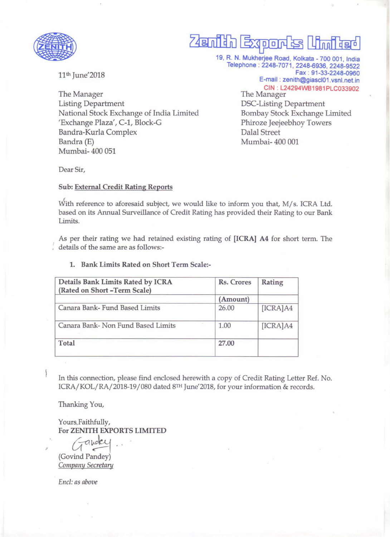

# **74@ ntrIDJ** ~ Ofinn~ 19. R. N. Mukherjee Road. Kolkata - 700 001 . India

11<sup>th</sup> June'2018

The Manager Listing Department National Stock Exchange of India Limited 'Exchange Plaza', C-1, Block-G Bandra-Kurla Complex Bandra (E) Mumbai- 400 051

Telephone: 2248-7071, 2248-6936, 2248-9522 Fax: 91-33-2248-0960 E-mail : zenith@giascl01.vsnl.net.in CIN : L24294W81981PLC033902 The Manager DSC-Listing Department Bombay Stock Exchange Limited Phiroze Jeejeebhoy Towers Dalal Street Mumbai- 400 001

Dear Sir,

### Sub: External Credit Rating Reports

With reference to aforesaid subject, we would like to inform you that, M/s. ICRA Ltd. based on its Annual Surveillance of Credit Rating has provided their Rating to our Bank Limits.

As per their rating we had retained existing rating of [ICRA] A4 for short term. The details of the same are as follows:-

| Rs. Crores | Rating   |
|------------|----------|
| (Amount)   |          |
| 26.00      | [ICRA]A4 |
| 1.00       | [ICRA]A4 |
| 27.00      |          |
|            |          |

### 1. Bank Limits Rated on Short Term Scale:-

In this connection, please find enclosed herewith a copy of Credit Rating Letter Ref. No. ICRA/KOL/RA/2018-19/080 dated 8TH June'2018, for your information & records.

Thanking You,

Yours. Faithfully, For ZENITH EXPORTS LIMITED

 $G$ andcy ...

(Govind Pandey) *Company Secretary* 

*End: as above*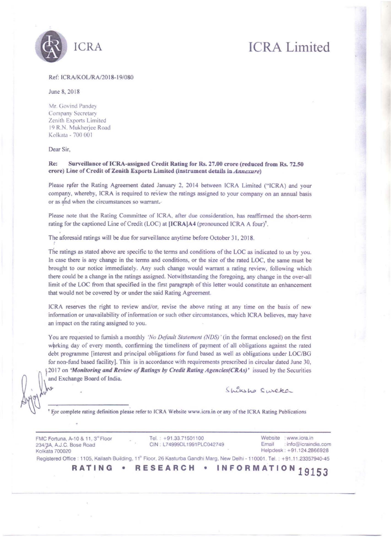

### Ref: ICRA/KOL/RA/2018-19/080

June 8, 20 18

Mr. Govind Pandey **Company Secretary Zenith Exports Limited** 19 R.N. Mukheriee Road Kolkata - 700 001

### Dear Sir.

### Re: Surveillance of ICRA-assigned Credit Rating for Rs. 27.00 crore (reduced from Rs. 72.50) erore) Line of Credit of Zenith Exports Limited (instrument details in *Annexure*)

Please refer the Rating Agreement dated January 2, 2014 between ICRA Limited ("ICRA) and your company, whereby, ICRA is required to review the ratings assigned to your company on an annual basis or as and when the circumstances so warrant.<sup>2</sup>

Please note that the Rating Committee of ICRA, after due consideration, has reaffirmed the short-term rating for the captioned Line of Credit (LOC) at [ICRA]A4 (pronounced ICRA A four)<sup>†</sup>.

The aforesaid ratings will be due for surveillance anytime before October 31, 2018.

The ratings as stated above are specific to the terms and conditions of the LOC as indicated to us by you. In case there is any change in the terms and conditions, or the size of the rated LOC, the same must be brought to our notice immediately. Any such change would warrant a rating review, following which there could be a change in the ratings assigned. Notwithstanding the foregoing, any change in the over-all limit of the LOC from that specified in the first paragraph of this letter would constitute an enhancement that would not be covered by or under the said Rating Agreement.

ICRA reserves the right to review and/or, revise the above rating at any time on the basis of new information or unavailability of information or such other circumstances, which ICRA believes, may have an impact on the rating assigned to you.

You are requested to furnish a monthly *'No Default Statement (NDS)'* (in the fonnat enclosed) on the first working day of every month, confirming the timeliness of payment of all obligations against the rated debt programme [interest and principal obligations for fund based as well as obligations under LOC/BG for non-fund based facility]. This is in accordance with requirements prescribed in circular dated June 30, ~ ! 2017 on *'Monitoring and Review of Ratings* by *Credit Raling Agencies(CRAs)'* issued by the Securilies and Exchange Board of India.

Shirsho Sureke

 $^{\dagger}$  For complete rating definition please refer to ICRA Website www.icra.in or any of the ICRA Rating Publications

FMC Fortuna, A-10 & 11, 3<sup>td</sup> Floor 234/3A, A.J.C. Bose Road Kolkala 700020 Tel.: +91.33.71501100 CIN . L74999DLt991PLC042749 Website : www.icra.in Email : info@icraindia.com Helpdesk: +91.124.2866928 Registered Office : 1105, Kailash Building, 11<sup>th</sup> Floor, 26 Kasturba Gandhi Marg, New Delhi - 110001. Tel. : +91.11 .23357940-45 **RATING** • **RESEARCH** • **INFORMATION 19153**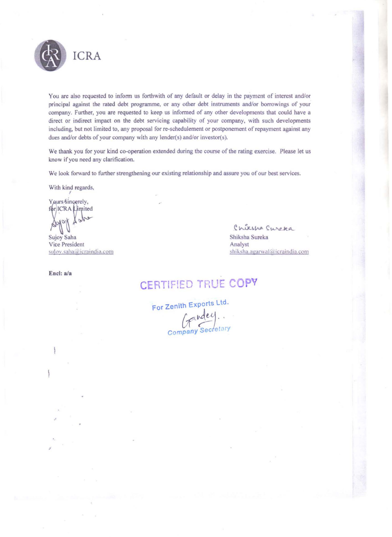

You are also requested to inform us forthwith of any default or delay in the payment of interest and/or principal against the rated debt programme, or any other debt instruments and/or borrowings of your company. Further, you are requested to keep us informed of any other developments that could have a direct or indirect impact on the debt servicing capability of your company, with such developments including, but not limited to, any proposal for re-schedulement or postponement of repayment against any dues and/or debts of your company with any lender(s) and/or investor(s).

We thank you for your kind co-operation extended during the course of the rating exercise. Please let us know if you need any clarification.

We look forward to further strengthening our existing relationship and assure you of our best services.

With kind regards,

Yours sincerely, for ICRA Limited

Sujoy Saha Vice President sujov.saha@icraindia.com

Encl: a/a

Chiksha Cureka Shiksha Sureka Analyst shiksha.agarwal@icraindia.com

# CERTIFIED TRUE COPY

For Zenith Exports Ltd. Company Secretar